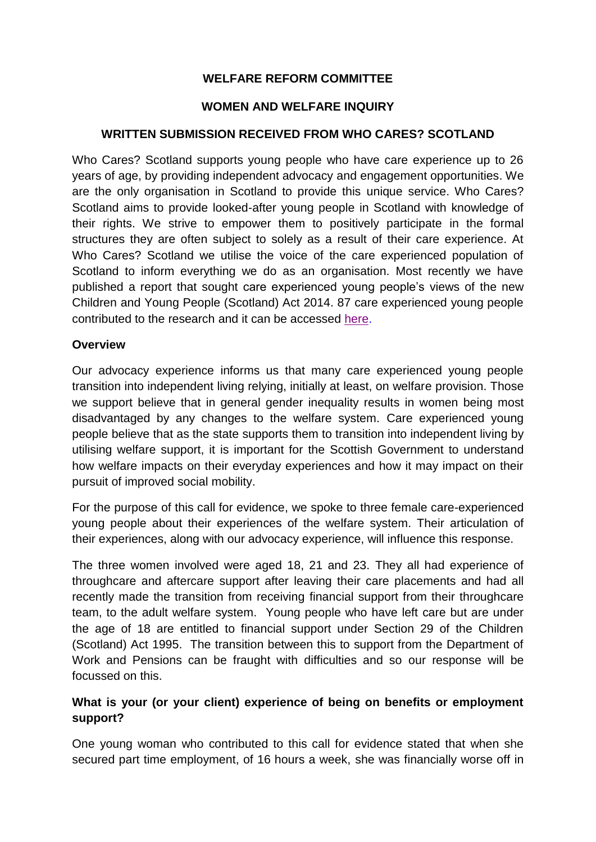# **WELFARE REFORM COMMITTEE**

## **WOMEN AND WELFARE INQUIRY**

## **WRITTEN SUBMISSION RECEIVED FROM WHO CARES? SCOTLAND**

Who Cares? Scotland supports young people who have care experience up to 26 years of age, by providing independent advocacy and engagement opportunities. We are the only organisation in Scotland to provide this unique service. Who Cares? Scotland aims to provide looked-after young people in Scotland with knowledge of their rights. We strive to empower them to positively participate in the formal structures they are often subject to solely as a result of their care experience. At Who Cares? Scotland we utilise the voice of the care experienced population of Scotland to inform everything we do as an organisation. Most recently we have published a report that sought care experienced young people's views of the new Children and Young People (Scotland) Act 2014. 87 care experienced young people contributed to the research and it can be accessed [here.](http://www.whocaresscotland.org/professionals/publications-briefings-research/)

#### **Overview**

Our advocacy experience informs us that many care experienced young people transition into independent living relying, initially at least, on welfare provision. Those we support believe that in general gender inequality results in women being most disadvantaged by any changes to the welfare system. Care experienced young people believe that as the state supports them to transition into independent living by utilising welfare support, it is important for the Scottish Government to understand how welfare impacts on their everyday experiences and how it may impact on their pursuit of improved social mobility.

For the purpose of this call for evidence, we spoke to three female care-experienced young people about their experiences of the welfare system. Their articulation of their experiences, along with our advocacy experience, will influence this response.

The three women involved were aged 18, 21 and 23. They all had experience of throughcare and aftercare support after leaving their care placements and had all recently made the transition from receiving financial support from their throughcare team, to the adult welfare system. Young people who have left care but are under the age of 18 are entitled to financial support under Section 29 of the Children (Scotland) Act 1995. The transition between this to support from the Department of Work and Pensions can be fraught with difficulties and so our response will be focussed on this.

## **What is your (or your client) experience of being on benefits or employment support?**

One young woman who contributed to this call for evidence stated that when she secured part time employment, of 16 hours a week, she was financially worse off in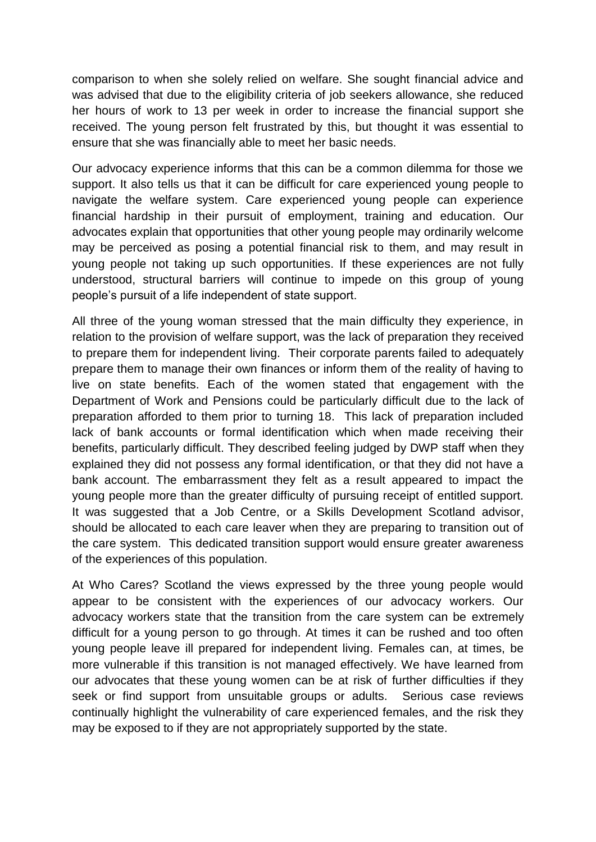comparison to when she solely relied on welfare. She sought financial advice and was advised that due to the eligibility criteria of job seekers allowance, she reduced her hours of work to 13 per week in order to increase the financial support she received. The young person felt frustrated by this, but thought it was essential to ensure that she was financially able to meet her basic needs.

Our advocacy experience informs that this can be a common dilemma for those we support. It also tells us that it can be difficult for care experienced young people to navigate the welfare system. Care experienced young people can experience financial hardship in their pursuit of employment, training and education. Our advocates explain that opportunities that other young people may ordinarily welcome may be perceived as posing a potential financial risk to them, and may result in young people not taking up such opportunities. If these experiences are not fully understood, structural barriers will continue to impede on this group of young people's pursuit of a life independent of state support.

All three of the young woman stressed that the main difficulty they experience, in relation to the provision of welfare support, was the lack of preparation they received to prepare them for independent living. Their corporate parents failed to adequately prepare them to manage their own finances or inform them of the reality of having to live on state benefits. Each of the women stated that engagement with the Department of Work and Pensions could be particularly difficult due to the lack of preparation afforded to them prior to turning 18. This lack of preparation included lack of bank accounts or formal identification which when made receiving their benefits, particularly difficult. They described feeling judged by DWP staff when they explained they did not possess any formal identification, or that they did not have a bank account. The embarrassment they felt as a result appeared to impact the young people more than the greater difficulty of pursuing receipt of entitled support. It was suggested that a Job Centre, or a Skills Development Scotland advisor, should be allocated to each care leaver when they are preparing to transition out of the care system. This dedicated transition support would ensure greater awareness of the experiences of this population.

At Who Cares? Scotland the views expressed by the three young people would appear to be consistent with the experiences of our advocacy workers. Our advocacy workers state that the transition from the care system can be extremely difficult for a young person to go through. At times it can be rushed and too often young people leave ill prepared for independent living. Females can, at times, be more vulnerable if this transition is not managed effectively. We have learned from our advocates that these young women can be at risk of further difficulties if they seek or find support from unsuitable groups or adults. Serious case reviews continually highlight the vulnerability of care experienced females, and the risk they may be exposed to if they are not appropriately supported by the state.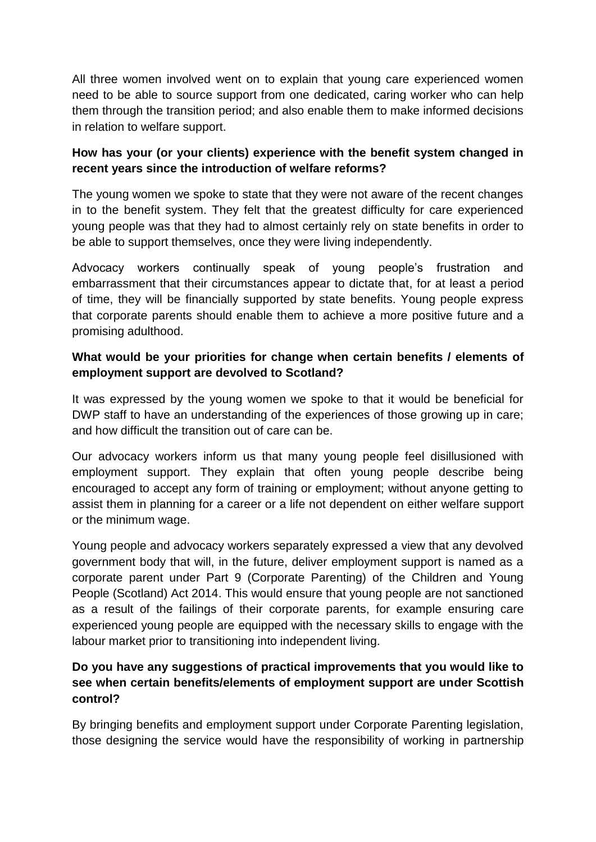All three women involved went on to explain that young care experienced women need to be able to source support from one dedicated, caring worker who can help them through the transition period; and also enable them to make informed decisions in relation to welfare support.

# **How has your (or your clients) experience with the benefit system changed in recent years since the introduction of welfare reforms?**

The young women we spoke to state that they were not aware of the recent changes in to the benefit system. They felt that the greatest difficulty for care experienced young people was that they had to almost certainly rely on state benefits in order to be able to support themselves, once they were living independently.

Advocacy workers continually speak of young people's frustration and embarrassment that their circumstances appear to dictate that, for at least a period of time, they will be financially supported by state benefits. Young people express that corporate parents should enable them to achieve a more positive future and a promising adulthood.

# **What would be your priorities for change when certain benefits / elements of employment support are devolved to Scotland?**

It was expressed by the young women we spoke to that it would be beneficial for DWP staff to have an understanding of the experiences of those growing up in care; and how difficult the transition out of care can be.

Our advocacy workers inform us that many young people feel disillusioned with employment support. They explain that often young people describe being encouraged to accept any form of training or employment; without anyone getting to assist them in planning for a career or a life not dependent on either welfare support or the minimum wage.

Young people and advocacy workers separately expressed a view that any devolved government body that will, in the future, deliver employment support is named as a corporate parent under Part 9 (Corporate Parenting) of the Children and Young People (Scotland) Act 2014. This would ensure that young people are not sanctioned as a result of the failings of their corporate parents, for example ensuring care experienced young people are equipped with the necessary skills to engage with the labour market prior to transitioning into independent living.

# **Do you have any suggestions of practical improvements that you would like to see when certain benefits/elements of employment support are under Scottish control?**

By bringing benefits and employment support under Corporate Parenting legislation, those designing the service would have the responsibility of working in partnership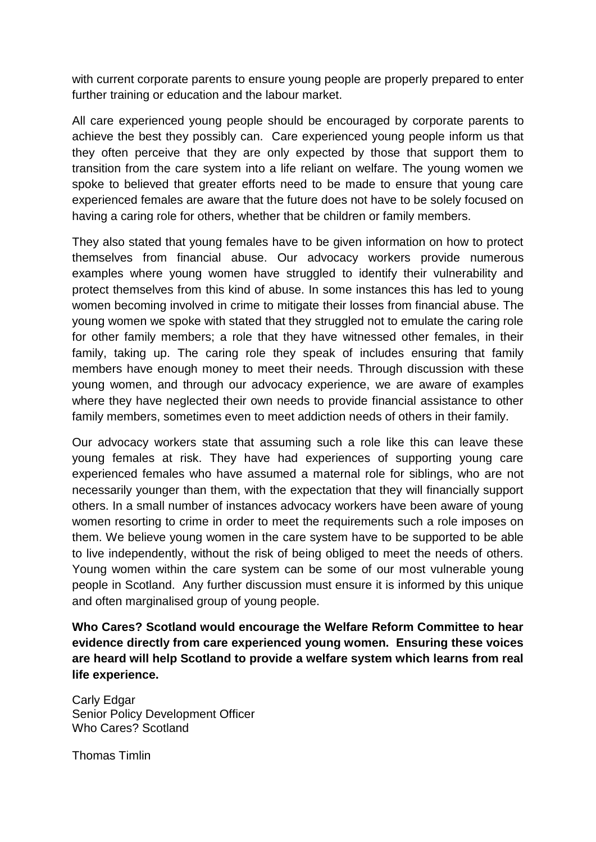with current corporate parents to ensure young people are properly prepared to enter further training or education and the labour market.

All care experienced young people should be encouraged by corporate parents to achieve the best they possibly can. Care experienced young people inform us that they often perceive that they are only expected by those that support them to transition from the care system into a life reliant on welfare. The young women we spoke to believed that greater efforts need to be made to ensure that young care experienced females are aware that the future does not have to be solely focused on having a caring role for others, whether that be children or family members.

They also stated that young females have to be given information on how to protect themselves from financial abuse. Our advocacy workers provide numerous examples where young women have struggled to identify their vulnerability and protect themselves from this kind of abuse. In some instances this has led to young women becoming involved in crime to mitigate their losses from financial abuse. The young women we spoke with stated that they struggled not to emulate the caring role for other family members; a role that they have witnessed other females, in their family, taking up. The caring role they speak of includes ensuring that family members have enough money to meet their needs. Through discussion with these young women, and through our advocacy experience, we are aware of examples where they have neglected their own needs to provide financial assistance to other family members, sometimes even to meet addiction needs of others in their family.

Our advocacy workers state that assuming such a role like this can leave these young females at risk. They have had experiences of supporting young care experienced females who have assumed a maternal role for siblings, who are not necessarily younger than them, with the expectation that they will financially support others. In a small number of instances advocacy workers have been aware of young women resorting to crime in order to meet the requirements such a role imposes on them. We believe young women in the care system have to be supported to be able to live independently, without the risk of being obliged to meet the needs of others. Young women within the care system can be some of our most vulnerable young people in Scotland. Any further discussion must ensure it is informed by this unique and often marginalised group of young people.

**Who Cares? Scotland would encourage the Welfare Reform Committee to hear evidence directly from care experienced young women. Ensuring these voices are heard will help Scotland to provide a welfare system which learns from real life experience.** 

Carly Edgar Senior Policy Development Officer Who Cares? Scotland

Thomas Timlin